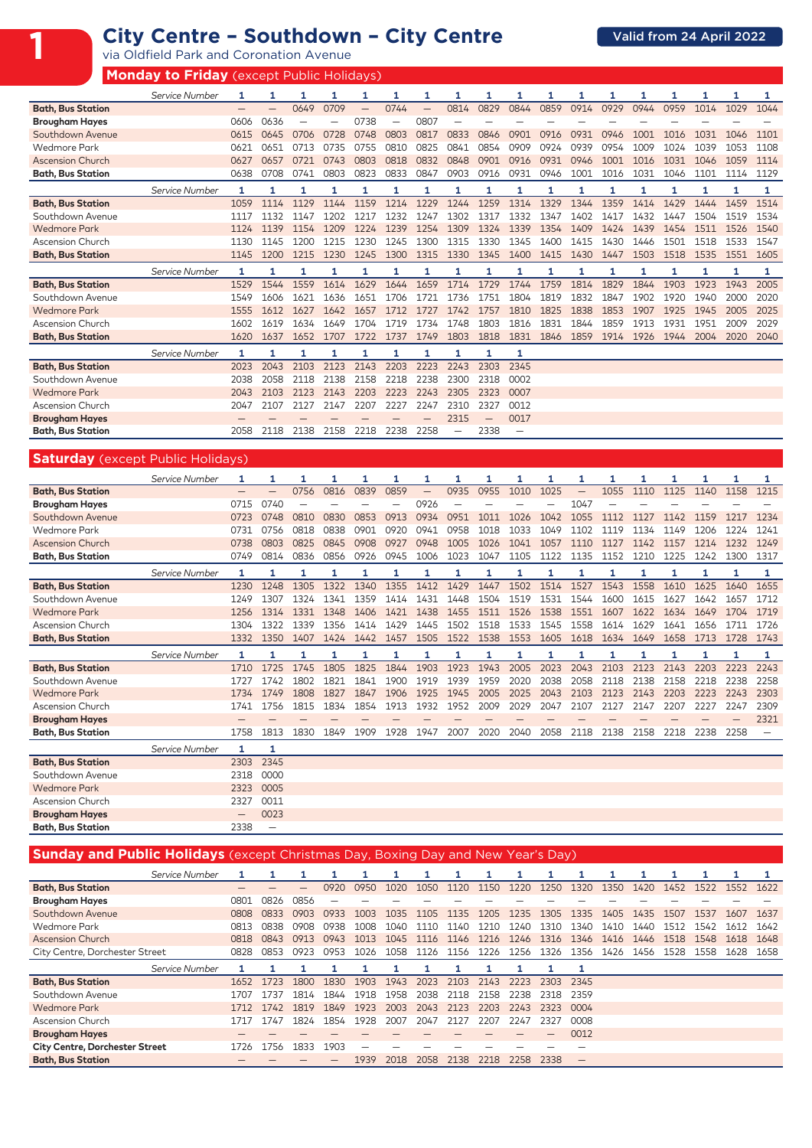|                          | <b>Monday to Friday</b> (except Public Holidays) |      |      |      |      |      |      |                   |                          |      |                   |      |      |      |      |      |      |      |      |
|--------------------------|--------------------------------------------------|------|------|------|------|------|------|-------------------|--------------------------|------|-------------------|------|------|------|------|------|------|------|------|
|                          | Service Number                                   |      | 1    | 1    | 1    | 1    | 1    | 1                 | 1                        | 1    |                   | 1    |      |      |      | 1    |      | 1    | 1    |
| <b>Bath, Bus Station</b> |                                                  |      | -    | 0649 | 0709 |      | 0744 | $\qquad \qquad -$ | 0814                     | 0829 | 0844              | 0859 | 0914 | 0929 | 0944 | 0959 | 1014 | 1029 | 1044 |
| <b>Brougham Hayes</b>    |                                                  | 0606 | 0636 |      |      | 0738 |      | 0807              |                          |      |                   |      |      |      |      |      |      |      |      |
| Southdown Avenue         |                                                  | 0615 | 0645 | 0706 | 0728 | 0748 | 0803 | 0817              | 0833                     | 0846 | 0901              | 0916 | 0931 | 0946 | 1001 | 1016 | 1031 | 1046 | 1101 |
| <b>Wedmore Park</b>      |                                                  | 0621 | 0651 | 0713 | 0735 | 0755 | 0810 | 0825              | 0841                     | 0854 | 0909              | 0924 | 0939 | 0954 | 1009 | 1024 | 1039 | 1053 | 1108 |
| <b>Ascension Church</b>  |                                                  | 0627 | 0657 | 0721 | 0743 | 0803 | 0818 | 0832              | 0848                     | 0901 | 0916              | 0931 | 0946 | 1001 | 1016 | 1031 | 1046 | 1059 | 1114 |
| <b>Bath, Bus Station</b> |                                                  | 0638 | 0708 | 0741 | 0803 | 0823 | 0833 | 0847              | 0903                     | 0916 | 0931              | 0946 | 1001 | 1016 | 1031 | 1046 | 1101 | 1114 | 1129 |
|                          | Service Number                                   | 1    | 1    | 1    | 1    | 1    | 1    | 1                 | 1                        | 1    | 1                 | 1    |      |      |      | 1    | 1    | 1    | 1    |
| <b>Bath, Bus Station</b> |                                                  | 1059 | 1114 | 1129 | 1144 | 1159 | 1214 | 1229              | 1244                     | 1259 | 1314              | 1329 | 1344 | 1359 | 1414 | 1429 | 1444 | 1459 | 1514 |
| Southdown Avenue         |                                                  | 1117 | 1132 | 1147 | 1202 | 1217 | 1232 | 1247              | 1302                     | 1317 | 1332              | 1347 | 1402 | 1417 | 1432 | 1447 | 1504 | 1519 | 1534 |
| <b>Wedmore Park</b>      |                                                  | 1124 | 1139 | 1154 | 1209 | 1224 | 1239 | 1254              | 1309                     | 1324 | 1339              | 1354 | 1409 | 1424 | 1439 | 1454 | 1511 | 1526 | 1540 |
| <b>Ascension Church</b>  |                                                  | 1130 | 1145 | 1200 | 1215 | 1230 | 1245 | 1300              | 1315                     | 1330 | 1345              | 1400 | 1415 | 1430 | 1446 | 1501 | 1518 | 1533 | 1547 |
| <b>Bath, Bus Station</b> |                                                  | 1145 | 1200 | 1215 | 1230 | 1245 | 1300 | 1315              | 1330                     | 1345 | 1400              | 1415 | 1430 | 1447 | 1503 | 1518 | 1535 | 1551 | 1605 |
|                          |                                                  |      |      |      |      |      |      |                   |                          |      |                   |      |      |      |      |      |      |      |      |
|                          | Service Number                                   |      |      |      |      | 1    |      |                   |                          |      |                   |      |      |      |      |      |      | 1    | 1    |
| <b>Bath, Bus Station</b> |                                                  | 1529 | 1544 | 1559 | 1614 | 1629 | 1644 | 1659              | 1714                     | 1729 | 1744              | 1759 | 1814 | 1829 | 1844 | 1903 | 1923 | 1943 | 2005 |
| Southdown Avenue         |                                                  | 1549 | 1606 | 1621 | 1636 | 1651 | 1706 | 1721              | 1736                     | 1751 | 1804              | 1819 | 1832 | 1847 | 1902 | 1920 | 1940 | 2000 | 2020 |
| <b>Wedmore Park</b>      |                                                  | 1555 | 1612 | 1627 | 1642 | 1657 | 1712 | 1727              | 1742                     | 1757 | 1810              | 1825 | 1838 | 1853 | 1907 | 1925 | 1945 | 2005 | 2025 |
| <b>Ascension Church</b>  |                                                  | 1602 | 1619 | 1634 | 1649 | 1704 | 1719 | 1734              | 1748                     | 1803 | 1816              | 1831 | 1844 | 1859 | 1913 | 1931 | 1951 | 2009 | 2029 |
| <b>Bath, Bus Station</b> |                                                  | 1620 | 1637 | 1652 | 1707 | 1722 | 1737 | 1749              | 1803                     | 1818 | 1831              | 1846 | 1859 | 1914 | 1926 | 1944 | 2004 | 2020 | 2040 |
|                          | Service Number                                   | 1    | 1    | 1    | 1    | 1    | 1    | 1                 | 1                        | 1    | 1                 |      |      |      |      |      |      |      |      |
| <b>Bath, Bus Station</b> |                                                  | 2023 | 2043 | 2103 | 2123 | 2143 | 2203 | 2223              | 2243                     | 2303 | 2345              |      |      |      |      |      |      |      |      |
| Southdown Avenue         |                                                  | 2038 | 2058 | 2118 | 2138 | 2158 | 2218 | 2238              | 2300                     | 2318 | 0002              |      |      |      |      |      |      |      |      |
| <b>Wedmore Park</b>      |                                                  | 2043 | 2103 | 2123 | 2143 | 2203 | 2223 | 2243              | 2305                     | 2323 | 0007              |      |      |      |      |      |      |      |      |
| Ascension Church         |                                                  | 2047 | 2107 | 2127 | 2147 | 2207 | 2227 | 2247              | 2310                     | 2327 | 0012              |      |      |      |      |      |      |      |      |
| <b>Brougham Hayes</b>    |                                                  |      |      |      |      |      |      |                   | 2315                     |      | 0017              |      |      |      |      |      |      |      |      |
| <b>Bath, Bus Station</b> |                                                  | 2058 | 2118 | 2138 | 2158 | 2218 | 2238 | 2258              | $\overline{\phantom{0}}$ | 2338 | $\qquad \qquad -$ |      |      |      |      |      |      |      |      |

## **Saturday** (except Public Holidays)

|                          | Service Number |      | 1                        |      | 1    | 1    | 1    | 1    | 1    | 1    | 1    |      | 1                 |      |      |      |      | 1    |      |
|--------------------------|----------------|------|--------------------------|------|------|------|------|------|------|------|------|------|-------------------|------|------|------|------|------|------|
| <b>Bath, Bus Station</b> |                |      |                          | 0756 | 0816 | 0839 | 0859 | —    | 0935 | 0955 | 1010 | 1025 | $\qquad \qquad -$ | 1055 | 1110 | 1125 | 1140 | 1158 | 1215 |
| <b>Brougham Hayes</b>    |                | 0715 | 0740                     |      |      |      |      | 0926 |      |      |      |      | 1047              |      |      |      |      |      |      |
| Southdown Avenue         |                | 0723 | 0748                     | 0810 | 0830 | 0853 | 0913 | 0934 | 0951 | 1011 | 1026 | 1042 | 1055              | 1112 | 1127 | 1142 | 1159 | 1217 | 1234 |
| <b>Wedmore Park</b>      |                | 0731 | 0756                     | 0818 | 0838 | 0901 | 0920 | 0941 | 0958 | 1018 | 1033 | 1049 | 1102              | 1119 | 1134 | 1149 | 1206 | 1224 | 1241 |
| <b>Ascension Church</b>  |                | 0738 | 0803                     | 0825 | 0845 | 0908 | 0927 | 0948 | 1005 | 1026 | 1041 | 1057 | 1110              | 1127 | 1142 | 1157 | 1214 | 1232 | 1249 |
| <b>Bath, Bus Station</b> |                | 0749 | 0814                     | 0836 | 0856 | 0926 | 0945 | 1006 | 1023 | 1047 | 1105 | 1122 | 1135              | 1152 | 1210 | 1225 | 1242 | 1300 | 1317 |
|                          | Service Number | 1    |                          | 1    | 1    | 1    | 1    | 1    | 1    | 1    | 1    | 1    | 1                 | 1    | 1    |      |      | 1    | 1    |
| <b>Bath, Bus Station</b> |                | 1230 | 1248                     | 1305 | 1322 | 1340 | 1355 | 1412 | 1429 | 1447 | 1502 | 1514 | 1527              | 1543 | 1558 | 1610 | 1625 | 1640 | 1655 |
| Southdown Avenue         |                | 1249 | 1307                     | 1324 | 1341 | 1359 | 1414 | 1431 | 1448 | 1504 | 1519 | 1531 | 1544              | 1600 | 1615 | 1627 | 1642 | 1657 | 1712 |
| <b>Wedmore Park</b>      |                | 1256 | 1314                     | 1331 | 1348 | 1406 | 1421 | 1438 | 1455 | 1511 | 1526 | 1538 | 1551              | 1607 | 1622 | 1634 | 1649 | 1704 | 1719 |
| Ascension Church         |                | 1304 | 1322                     | 1339 | 1356 | 1414 | 1429 | 1445 | 1502 | 1518 | 1533 | 1545 | 1558              | 1614 | 1629 | 1641 | 1656 | 1711 | 1726 |
| <b>Bath, Bus Station</b> |                | 1332 | 1350                     | 1407 | 1424 | 1442 | 1457 | 1505 | 1522 | 1538 | 1553 | 1605 | 1618              | 1634 | 1649 | 1658 | 1713 | 1728 | 1743 |
|                          | Service Number |      |                          |      | 1    | 1    | 1    | 1    | 1    | 1    | 1    | 1    | 1                 | ۹    |      |      |      | 1    | 1    |
| <b>Bath, Bus Station</b> |                | 1710 | 1725                     | 1745 | 1805 | 1825 | 1844 | 1903 | 1923 | 1943 | 2005 | 2023 | 2043              | 2103 | 2123 | 2143 | 2203 | 2223 | 2243 |
| Southdown Avenue         |                | 1727 | 1742                     | 1802 | 1821 | 1841 | 1900 | 1919 | 1939 | 1959 | 2020 | 2038 | 2058              | 2118 | 2138 | 2158 | 2218 | 2238 | 2258 |
| <b>Wedmore Park</b>      |                | 1734 | 1749                     | 1808 | 1827 | 1847 | 1906 | 1925 | 1945 | 2005 | 2025 | 2043 | 2103              | 2123 | 2143 | 2203 | 2223 | 2243 | 2303 |
| <b>Ascension Church</b>  |                | 1741 | 1756                     | 1815 | 1834 | 1854 | 1913 | 1932 | 1952 | 2009 | 2029 | 2047 | 2107              | 2127 | 2147 | 2207 | 2227 | 2247 | 2309 |
| <b>Brougham Hayes</b>    |                |      |                          |      |      |      |      |      |      |      |      |      |                   |      |      |      |      |      | 2321 |
| <b>Bath, Bus Station</b> |                | 1758 | 1813                     | 1830 | 1849 | 1909 | 1928 | 1947 | 2007 | 2020 | 2040 | 2058 | 2118              | 2138 | 2158 | 2218 | 2238 | 2258 | -    |
|                          | Service Number | 1    | 1                        |      |      |      |      |      |      |      |      |      |                   |      |      |      |      |      |      |
| <b>Bath, Bus Station</b> |                | 2303 | 2345                     |      |      |      |      |      |      |      |      |      |                   |      |      |      |      |      |      |
| Southdown Avenue         |                | 2318 | 0000                     |      |      |      |      |      |      |      |      |      |                   |      |      |      |      |      |      |
| <b>Wedmore Park</b>      |                | 2323 | 0005                     |      |      |      |      |      |      |      |      |      |                   |      |      |      |      |      |      |
| <b>Ascension Church</b>  |                | 2327 | 0011                     |      |      |      |      |      |      |      |      |      |                   |      |      |      |      |      |      |
| <b>Brougham Hayes</b>    |                | -    | 0023                     |      |      |      |      |      |      |      |      |      |                   |      |      |      |      |      |      |
| <b>Bath, Bus Station</b> |                | 2338 | $\overline{\phantom{0}}$ |      |      |      |      |      |      |      |      |      |                   |      |      |      |      |      |      |

## **Sunday and Public Holidays** (except Christmas Day, Boxing Day and New Year's Day)

|                                       | Service Number |      |      |             |             |      |      |      |      |      |      |      |                   |      |      |      |      |      |      |
|---------------------------------------|----------------|------|------|-------------|-------------|------|------|------|------|------|------|------|-------------------|------|------|------|------|------|------|
| <b>Bath, Bus Station</b>              |                |      |      | —           | 0920        | 0950 | 1020 | 1050 | 1120 | 1150 | 1220 | 1250 | 1320              | 1350 | 1420 | 1452 | 1522 | 1552 | 1622 |
| <b>Brougham Hayes</b>                 |                | 0801 | 0826 | 0856        |             |      |      |      |      |      |      |      |                   |      |      |      |      |      |      |
| Southdown Avenue                      |                | 0808 | 0833 | <b>UdU3</b> | 0933        | 1003 | 1035 | 1105 | 1135 | 1205 | 1235 | 1305 | 1335              | 1405 | 1435 | 1507 | 1537 | 1607 | 1637 |
| Wedmore Park                          |                | 0813 | 0838 | 0908        | 0938        | 1008 | 1040 | 1110 | 1140 | 1210 | 1240 | 1310 | 1340              | 1410 | 1440 | 1512 | 1542 | 1612 | 1642 |
| <b>Ascension Church</b>               |                | 0818 | 0843 | 0913        | <b>U673</b> | 1013 | 1045 | 1116 | 1146 | 1216 | 1246 | 1316 | 1346              | 1416 | 1446 | 1518 | 1548 | 1618 | 1648 |
| City Centre, Dorchester Street        |                | 0828 | 0853 | 0923        | 0953        | 1026 | 1058 | 1126 | 1156 | 1226 | 1256 | 1326 | 1356              | 1426 | 1456 | 1528 | 1558 | 1628 | 1658 |
|                                       | Service Number |      |      |             |             |      |      |      |      |      |      |      |                   |      |      |      |      |      |      |
| <b>Bath, Bus Station</b>              |                | 1652 | 1723 | 1800        | 1830        | 1903 | 1943 | 2023 | 2103 | 2143 | 2223 | 2303 | 2345              |      |      |      |      |      |      |
| Southdown Avenue                      |                | 1707 | 1737 | 1814        | 1844        | 1918 | 1958 | 2038 | 2118 | 2158 | 2238 | 2318 | 2359              |      |      |      |      |      |      |
| <b>Wedmore Park</b>                   |                | 1712 | 1742 | 1819        | 1849        | 1923 | 2003 | 2043 | 2123 | 2203 | 2243 | 2323 | 0004              |      |      |      |      |      |      |
| <b>Ascension Church</b>               |                | 1717 | 1747 | 1824        | 1854        | 1928 | 2007 | 2047 | 2127 | 2207 | 2247 | 2327 | 0008              |      |      |      |      |      |      |
| <b>Brougham Hayes</b>                 |                |      |      |             |             |      |      |      |      |      |      |      | 0012              |      |      |      |      |      |      |
| <b>City Centre, Dorchester Street</b> |                | 1726 | 1756 | 1833        | 1903        |      |      |      |      |      |      |      |                   |      |      |      |      |      |      |
| <b>Bath, Bus Station</b>              |                |      |      |             |             | 1939 | 2018 | 2058 | 2138 | 2218 | 2258 | 2338 | $\qquad \qquad -$ |      |      |      |      |      |      |